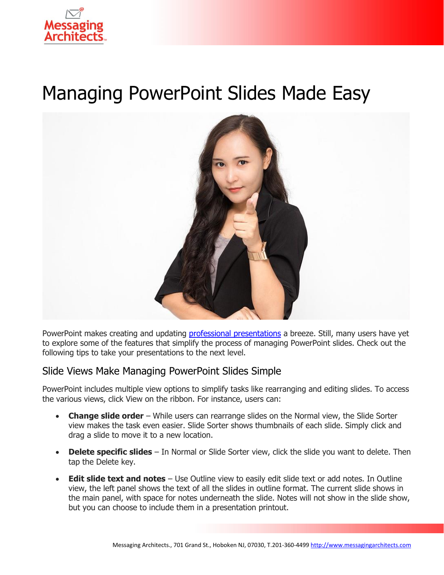

# Managing PowerPoint Slides Made Easy



PowerPoint makes creating and updating professional [presentations](https://www.emazzanti.net/presenting-with-powerpoint-10-dos-and-donts/) a breeze. Still, many users have yet to explore some of the features that simplify the process of managing PowerPoint slides. Check out the following tips to take your presentations to the next level.

## Slide Views Make Managing PowerPoint Slides Simple

PowerPoint includes multiple view options to simplify tasks like rearranging and editing slides. To access the various views, click View on the ribbon. For instance, users can:

- **Change slide order** While users can rearrange slides on the Normal view, the Slide Sorter view makes the task even easier. Slide Sorter shows thumbnails of each slide. Simply click and drag a slide to move it to a new location.
- **Delete specific slides** In Normal or Slide Sorter view, click the slide you want to delete. Then tap the Delete key.
- **Edit slide text and notes** Use Outline view to easily edit slide text or add notes. In Outline view, the left panel shows the text of all the slides in outline format. The current slide shows in the main panel, with space for notes underneath the slide. Notes will not show in the slide show, but you can choose to include them in a presentation printout.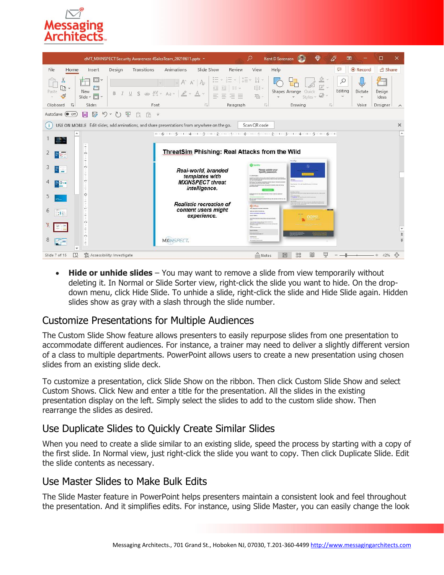

| eMT_MXINSPECT Security Awareness 4SalesTeam_20210611.pptx *                                                       |                                                                                                                                 |        |                                                                                             |                                          |                                                                                   |                                                                                   |                                                                                                                             | Kent D Sorensen                         |                                | $\oplus$                                                     | 囨                                    |                         | □                                          | $\times$           |
|-------------------------------------------------------------------------------------------------------------------|---------------------------------------------------------------------------------------------------------------------------------|--------|---------------------------------------------------------------------------------------------|------------------------------------------|-----------------------------------------------------------------------------------|-----------------------------------------------------------------------------------|-----------------------------------------------------------------------------------------------------------------------------|-----------------------------------------|--------------------------------|--------------------------------------------------------------|--------------------------------------|-------------------------|--------------------------------------------|--------------------|
| File<br>Home                                                                                                      | Insert                                                                                                                          | Design | Transitions                                                                                 | Animations                               | Slide Show                                                                        | Review                                                                            | View                                                                                                                        | Help                                    |                                |                                                              | ₽                                    | <b>O</b> Record         | <b>B</b> Share                             |                    |
| $\Lambda$<br>Ŀ.<br>$\mathbf{v}$<br>Paste<br>ၖ                                                                     | $\Box$<br>$\ddot{}$<br>衐<br>New<br>ā<br>Slide v<br>$\check{~}$                                                                  |        | $AV -$<br>s<br>ab                                                                           | $\mathsf{A}^\circ$<br>$\ell$ .<br>$Aa -$ | A <sub>o</sub><br>$A\check{ }$<br>$A$ .                                           | $2 - 4$<br>$x \rightarrow 0$<br>石<br>写田<br>EE w<br>Ξ<br>三<br>$\equiv$<br>$\equiv$ | lâ -<br>IE -<br>$\left[\begin{smallmatrix} 1\\ 0\\ 0 \end{smallmatrix}\right]$ $\sim$<br>看~                                 |                                         | Shapes Arrange<br>$\mathbf{v}$ | V<br>$\sim$<br><b>Since</b><br>Ouick<br>$\omega$<br>Styles y | $\varphi$<br>Editing<br>$\checkmark$ | Dictate<br>$\mathbf{v}$ | $\overline{\mathbb{F}}$<br>Design<br>Ideas |                    |
| $\sqrt{2}$<br>Clipboard                                                                                           | Slides                                                                                                                          |        | Font                                                                                        |                                          | is.                                                                               | Paragraph                                                                         | $\overline{N}$                                                                                                              |                                         | Drawing                        | $\sqrt{3}$                                                   |                                      | Voice                   | Designer                                   | $\wedge$           |
| $\mathbb{F}$<br>AutoSave (OOff)<br>$\sqrt{2}$<br>(1)<br>모<br>$\blacksquare$<br>FX<br>ñ<br>$\overline{\mathbf{v}}$ |                                                                                                                                 |        |                                                                                             |                                          |                                                                                   |                                                                                   |                                                                                                                             |                                         |                                |                                                              |                                      |                         |                                            |                    |
| Œ                                                                                                                 |                                                                                                                                 |        | USE ON MOBILE Edit slides, add aminations, and share presentations from anywhere on the go. |                                          |                                                                                   |                                                                                   | Scan OR code                                                                                                                |                                         |                                |                                                              |                                      |                         |                                            | $\times$           |
| $+8$<br>$\mathcal{L}_{\mathcal{L}}$<br>胃癌                                                                         | 1006001050010400103001020010100100100100100200103001040010500106001<br>ThreatSim Phishing: Real Attacks from the Wild<br>$\sim$ |        |                                                                                             |                                          |                                                                                   |                                                                                   |                                                                                                                             |                                         |                                |                                                              |                                      |                         |                                            | $\triangleq$       |
| 3<br>E<br>ù.<br>$\mathbb{B}^{\circ}$ .<br>and i                                                                   | $\sim$<br>۳                                                                                                                     |        |                                                                                             |                                          | Real-world, branded<br>templates with<br><b>MXINSPECT threat</b><br>intelligence. |                                                                                   | <b>Ca</b> Scientry<br>If the further that we see the phone claim more for hour in                                           | Please update your<br>Spotify password. | <b>In die Brand</b>            |                                                              |                                      |                         |                                            |                    |
| 6<br>$\Box E$                                                                                                     | Ò<br>۳<br>$\sim$                                                                                                                |        |                                                                                             |                                          | Realistic recreation of<br>content users might<br>experience.                     |                                                                                   | the arts in copied changing that a<br><b>G</b> office<br><b>They payment has been death</b><br>the best points for the com- |                                         | <b>Milan Rent</b>              | OORS!                                                        |                                      |                         |                                            |                    |
| 時間<br>v                                                                                                           | -<br>$\tilde{m}$<br>۰                                                                                                           |        |                                                                                             | <b>MXINSPECT.</b>                        |                                                                                   |                                                                                   | ----<br><b>Interbased</b><br><b>CONTRACTOR</b>                                                                              |                                         |                                | 睴                                                            |                                      |                         |                                            | $+$ $*$<br>¥<br><⊕ |
| 臤<br>Slide 7 of 15                                                                                                | Accessibility: Investigate                                                                                                      |        |                                                                                             |                                          |                                                                                   |                                                                                   | $\triangleq$ Notes                                                                                                          |                                         | 88<br>$\mathbb{E}$             | 모                                                            |                                      |                         | $+ 42%$                                    |                    |

• **Hide or unhide slides** – You may want to remove a slide from view temporarily without deleting it. In Normal or Slide Sorter view, right-click the slide you want to hide. On the dropdown menu, click Hide Slide. To unhide a slide, right-click the slide and Hide Slide again. Hidden slides show as gray with a slash through the slide number.

## Customize Presentations for Multiple Audiences

The Custom Slide Show feature allows presenters to easily repurpose slides from one presentation to accommodate different audiences. For instance, a trainer may need to deliver a slightly different version of a class to multiple departments. PowerPoint allows users to create a new presentation using chosen slides from an existing slide deck.

To customize a presentation, click Slide Show on the ribbon. Then click Custom Slide Show and select Custom Shows. Click New and enter a title for the presentation. All the slides in the existing presentation display on the left. Simply select the slides to add to the custom slide show. Then rearrange the slides as desired.

# Use Duplicate Slides to Quickly Create Similar Slides

When you need to create a slide similar to an existing slide, speed the process by starting with a copy of the first slide. In Normal view, just right-click the slide you want to copy. Then click Duplicate Slide. Edit the slide contents as necessary.

## Use Master Slides to Make Bulk Edits

The Slide Master feature in PowerPoint helps presenters maintain a consistent look and feel throughout the presentation. And it simplifies edits. For instance, using Slide Master, you can easily change the look